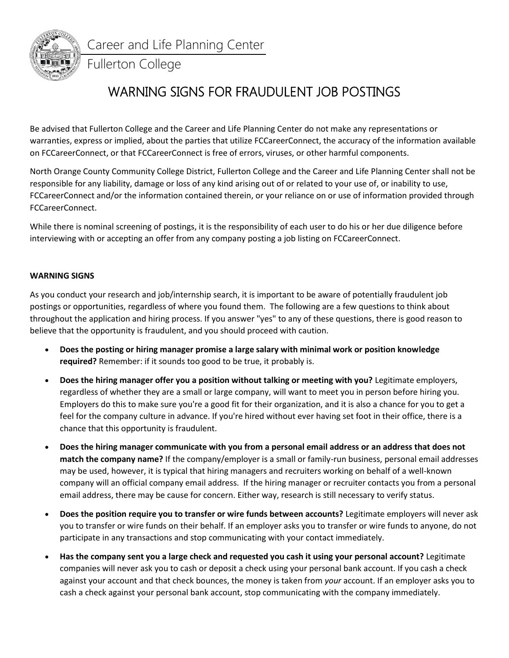

Career and Life Planning Center

## Fullerton College

## WARNING SIGNS FOR FRAUDULENT JOB POSTINGS

Be advised that Fullerton College and the Career and Life Planning Center do not make any representations or warranties, express or implied, about the parties that utilize FCCareerConnect, the accuracy of the information available on FCCareerConnect, or that FCCareerConnect is free of errors, viruses, or other harmful components.

North Orange County Community College District, Fullerton College and the Career and Life Planning Center shall not be responsible for any liability, damage or loss of any kind arising out of or related to your use of, or inability to use, FCCareerConnect and/or the information contained therein, or your reliance on or use of information provided through FCCareerConnect.

While there is nominal screening of postings, it is the responsibility of each user to do his or her due diligence before interviewing with or accepting an offer from any company posting a job listing on FCCareerConnect.

## **WARNING SIGNS**

As you conduct your research and job/internship search, it is important to be aware of potentially fraudulent job postings or opportunities, regardless of where you found them. The following are a few questions to think about throughout the application and hiring process. If you answer "yes" to any of these questions, there is good reason to believe that the opportunity is fraudulent, and you should proceed with caution.

- **Does the posting or hiring manager promise a large salary with minimal work or position knowledge required?** Remember: if it sounds too good to be true, it probably is.
- **Does the hiring manager offer you a position without talking or meeting with you?** Legitimate employers, regardless of whether they are a small or large company, will want to meet you in person before hiring you. Employers do this to make sure you're a good fit for their organization, and it is also a chance for you to get a feel for the company culture in advance. If you're hired without ever having set foot in their office, there is a chance that this opportunity is fraudulent.
- **Does the hiring manager communicate with you from a personal email address or an address that does not match the company name?** If the company/employer is a small or family-run business, personal email addresses may be used, however, it is typical that hiring managers and recruiters working on behalf of a well-known company will an official company email address. If the hiring manager or recruiter contacts you from a personal email address, there may be cause for concern. Either way, research is still necessary to verify status.
- **Does the position require you to transfer or wire funds between accounts?** Legitimate employers will never ask you to transfer or wire funds on their behalf. If an employer asks you to transfer or wire funds to anyone, do not participate in any transactions and stop communicating with your contact immediately.
- **Has the company sent you a large check and requested you cash it using your personal account?** Legitimate companies will never ask you to cash or deposit a check using your personal bank account. If you cash a check against your account and that check bounces, the money is taken from *your* account. If an employer asks you to cash a check against your personal bank account, stop communicating with the company immediately.